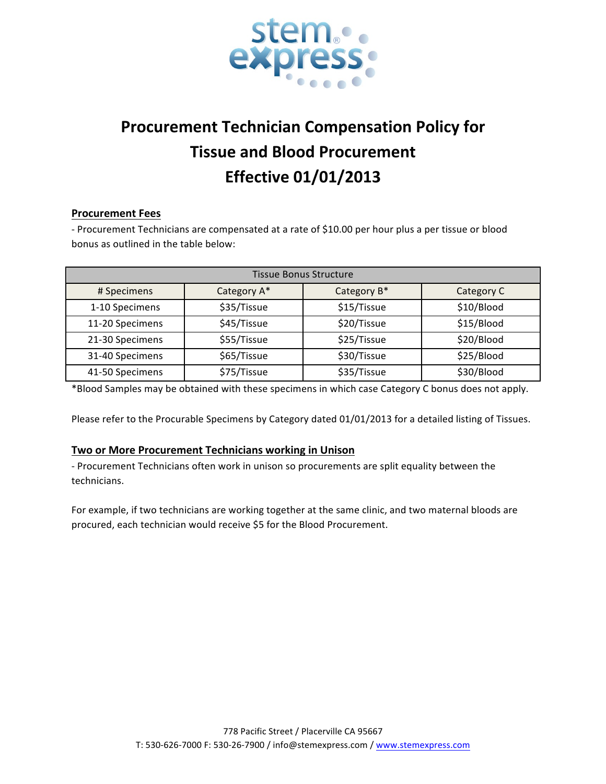

### **Procurement Technician Compensation Policy for Tissue and Blood Procurement Effective 01/01/2013**

#### **Procurement Fees**

- Procurement Technicians are compensated at a rate of \$10.00 per hour plus a per tissue or blood bonus as outlined in the table below:

| <b>Tissue Bonus Structure</b> |             |             |            |
|-------------------------------|-------------|-------------|------------|
| # Specimens                   | Category A* | Category B* | Category C |
| 1-10 Specimens                | \$35/Tissue | \$15/Tissue | \$10/Blood |
| 11-20 Specimens               | \$45/Tissue | \$20/Tissue | \$15/Blood |
| 21-30 Specimens               | \$55/Tissue | \$25/Tissue | \$20/Blood |
| 31-40 Specimens               | \$65/Tissue | \$30/Tissue | \$25/Blood |
| 41-50 Specimens               | \$75/Tissue | \$35/Tissue | \$30/Blood |

\*Blood Samples may be obtained with these specimens in which case Category C bonus does not apply.

Please refer to the Procurable Specimens by Category dated 01/01/2013 for a detailed listing of Tissues.

#### **Two or More Procurement Technicians working in Unison**

- Procurement Technicians often work in unison so procurements are split equality between the technicians. 

For example, if two technicians are working together at the same clinic, and two maternal bloods are procured, each technician would receive \$5 for the Blood Procurement.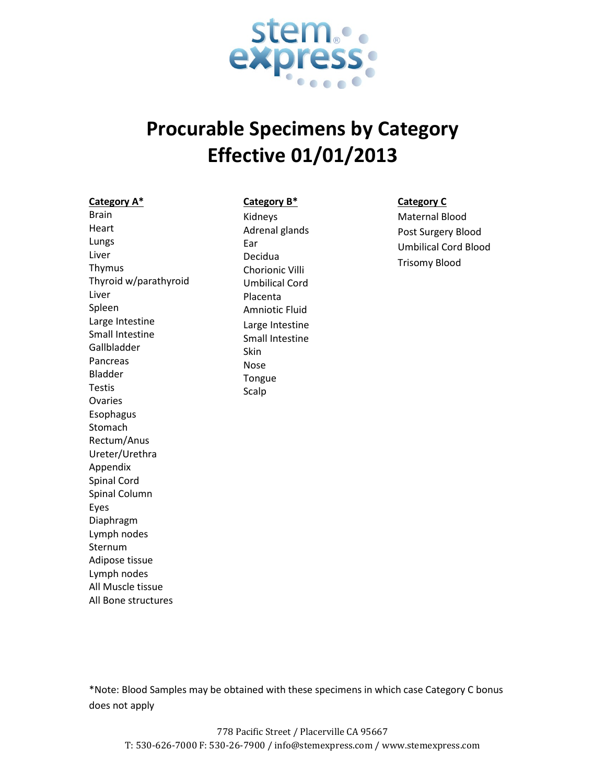

# **Procurable Specimens by Category Effective 01/01/2013**

| <u>Category A*</u>     |
|------------------------|
| <b>Brain</b>           |
| Heart                  |
| Lungs                  |
| Liver                  |
| Thymus                 |
| Thyroid w/parathyroid  |
| Liver                  |
| Spleen                 |
| Large Intestine        |
| <b>Small Intestine</b> |
| Gallbladder            |
| Pancreas               |
| Bladder                |
| <b>Testis</b>          |
| Ovaries                |
| Esophagus              |
| Stomach                |
| Rectum/Anus            |
| Ureter/Urethra         |
| Appendix               |
| <b>Spinal Cord</b>     |
| Spinal Column          |
| Eyes                   |
| Diaphragm              |
| Lymph nodes            |
| Sternum                |
| Adipose tissue         |
| Lymph nodes            |
| All Muscle tissue      |
| All Bone structures    |
|                        |

**Category B\***

Kidneys Adrenal glands Ear Decidua Chorionic Villi Umbilical Cord Placenta Amniotic Fluid Large Intestine Small Intestine Skin Nose Tongue Scalp

### **Category C**

Maternal Blood Post Surgery Blood Umbilical Cord Blood Trisomy Blood

\*Note: Blood Samples may be obtained with these specimens in which case Category C bonus does not apply